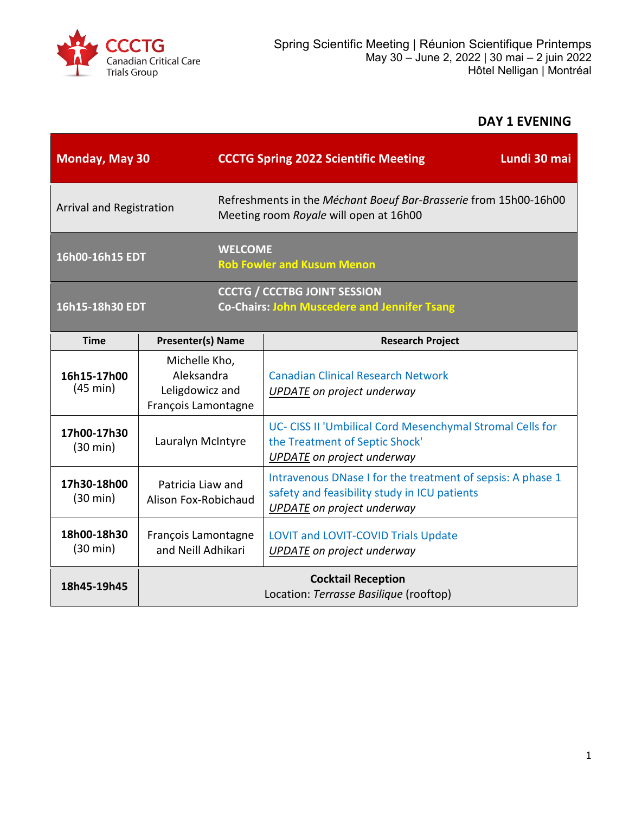

# **DAY 1 EVENING**

| <b>Monday, May 30</b>             |                                                                       |                                                                                                            | Lundi 30 mai<br><b>CCCTG Spring 2022 Scientific Meeting</b>                                                                                     |  |
|-----------------------------------|-----------------------------------------------------------------------|------------------------------------------------------------------------------------------------------------|-------------------------------------------------------------------------------------------------------------------------------------------------|--|
| Arrival and Registration          |                                                                       | Refreshments in the Méchant Boeuf Bar-Brasserie from 15h00-16h00<br>Meeting room Royale will open at 16h00 |                                                                                                                                                 |  |
| 16h00-16h15 EDT                   |                                                                       | <b>WELCOME</b><br><b>Rob Fowler and Kusum Menon</b>                                                        |                                                                                                                                                 |  |
| 16h15-18h30 EDT                   |                                                                       |                                                                                                            | <b>CCCTG / CCCTBG JOINT SESSION</b><br><b>Co-Chairs: John Muscedere and Jennifer Tsang</b>                                                      |  |
| <b>Time</b>                       | <b>Presenter(s) Name</b>                                              |                                                                                                            | <b>Research Project</b>                                                                                                                         |  |
| 16h15-17h00<br>(45 min)           | Michelle Kho,<br>Aleksandra<br>Leligdowicz and<br>François Lamontagne |                                                                                                            | <b>Canadian Clinical Research Network</b><br>UPDATE on project underway                                                                         |  |
| 17h00-17h30<br>$(30 \text{ min})$ | Lauralyn McIntyre                                                     |                                                                                                            | UC- CISS II 'Umbilical Cord Mesenchymal Stromal Cells for<br>the Treatment of Septic Shock'<br><b>UPDATE</b> on project underway                |  |
| 17h30-18h00<br>$(30 \text{ min})$ | Patricia Liaw and<br>Alison Fox-Robichaud                             |                                                                                                            | Intravenous DNase I for the treatment of sepsis: A phase 1<br>safety and feasibility study in ICU patients<br><b>UPDATE</b> on project underway |  |
| 18h00-18h30<br>$(30 \text{ min})$ | François Lamontagne<br>and Neill Adhikari                             |                                                                                                            | <b>LOVIT and LOVIT-COVID Trials Update</b><br><b>UPDATE</b> on project underway                                                                 |  |
| 18h45-19h45                       | <b>Cocktail Reception</b><br>Location: Terrasse Basilique (rooftop)   |                                                                                                            |                                                                                                                                                 |  |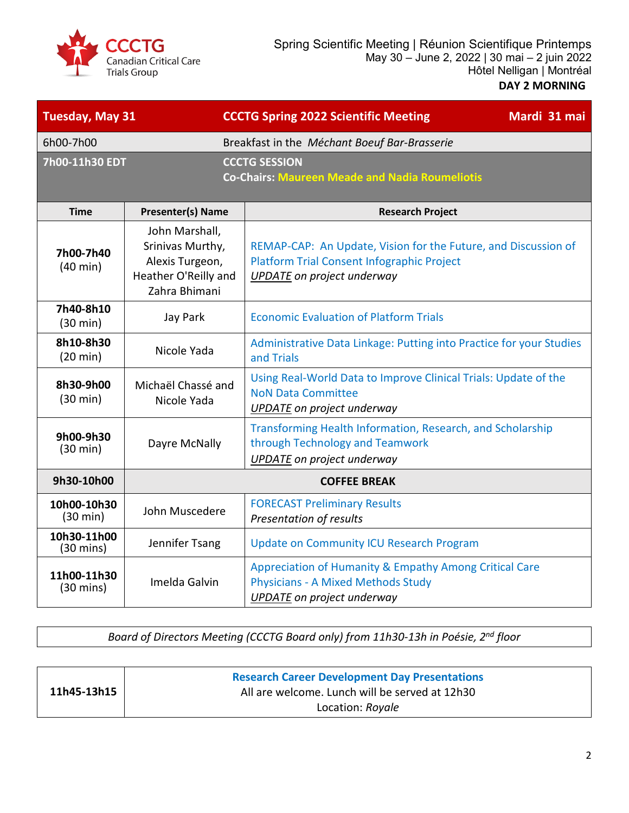

| <b>Tuesday, May 31</b>             |                                                                                                | <b>CCCTG Spring 2022 Scientific Meeting</b><br>Mardi 31 mai                                                                                       |
|------------------------------------|------------------------------------------------------------------------------------------------|---------------------------------------------------------------------------------------------------------------------------------------------------|
| 6h00-7h00                          |                                                                                                | Breakfast in the Méchant Boeuf Bar-Brasserie                                                                                                      |
| 7h00-11h30 EDT                     |                                                                                                | <b>CCCTG SESSION</b><br><b>Co-Chairs: Maureen Meade and Nadia Roumeliotis</b>                                                                     |
| <b>Time</b>                        | <b>Presenter(s) Name</b>                                                                       | <b>Research Project</b>                                                                                                                           |
| 7h00-7h40<br>$(40 \text{ min})$    | John Marshall,<br>Srinivas Murthy,<br>Alexis Turgeon,<br>Heather O'Reilly and<br>Zahra Bhimani | REMAP-CAP: An Update, Vision for the Future, and Discussion of<br>Platform Trial Consent Infographic Project<br><b>UPDATE</b> on project underway |
| 7h40-8h10<br>$(30 \text{ min})$    | Jay Park                                                                                       | <b>Economic Evaluation of Platform Trials</b>                                                                                                     |
| 8h10-8h30<br>$(20 \text{ min})$    | Nicole Yada                                                                                    | Administrative Data Linkage: Putting into Practice for your Studies<br>and Trials                                                                 |
| 8h30-9h00<br>$(30 \text{ min})$    | Michaël Chassé and<br>Nicole Yada                                                              | Using Real-World Data to Improve Clinical Trials: Update of the<br><b>NoN Data Committee</b><br><b>UPDATE</b> on project underway                 |
| 9h00-9h30<br>$(30 \text{ min})$    | Dayre McNally                                                                                  | Transforming Health Information, Research, and Scholarship<br>through Technology and Teamwork<br><b>UPDATE</b> on project underway                |
| 9h30-10h00                         | <b>COFFEE BREAK</b>                                                                            |                                                                                                                                                   |
| 10h00-10h30<br>$(30 \text{ min})$  | John Muscedere                                                                                 | <b>FORECAST Preliminary Results</b><br>Presentation of results                                                                                    |
| 10h30-11h00<br>$(30 \text{ mins})$ | Jennifer Tsang                                                                                 | <b>Update on Community ICU Research Program</b>                                                                                                   |
| 11h00-11h30<br>$(30 \text{ mins})$ | Imelda Galvin                                                                                  | Appreciation of Humanity & Empathy Among Critical Care<br><b>Physicians - A Mixed Methods Study</b><br><b>UPDATE</b> on project underway          |

*Board of Directors Meeting (CCCTG Board only) from 11h30-13h in Poésie, 2nd floor*

|             | <b>Research Career Development Day Presentations</b> |
|-------------|------------------------------------------------------|
| 11h45-13h15 | All are welcome. Lunch will be served at 12h30       |
|             | Location: Royale                                     |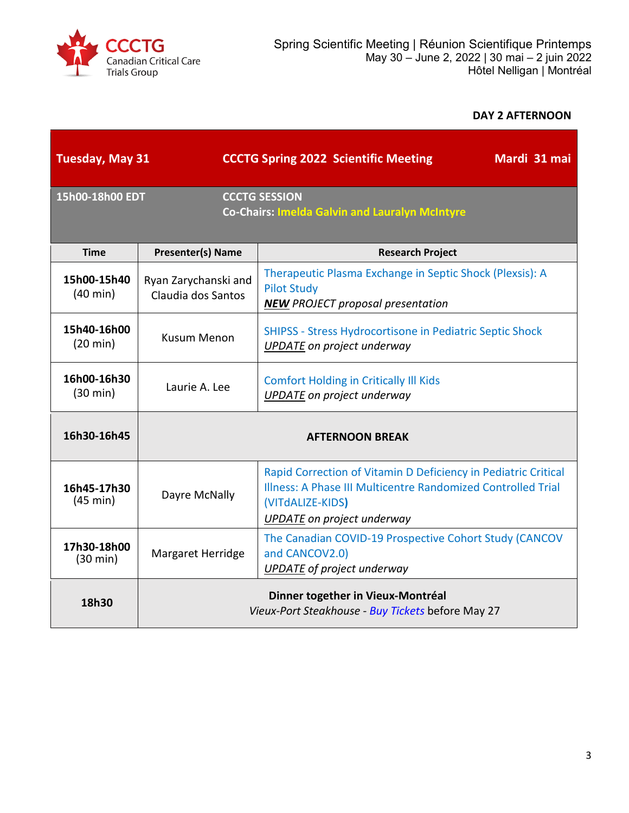

#### **DAY 2 AFTERNOON**

| <b>Tuesday, May 31</b>            |                                                                                        | <b>CCCTG Spring 2022 Scientific Meeting</b><br>Mardi 31 mai                                                                                                                             |
|-----------------------------------|----------------------------------------------------------------------------------------|-----------------------------------------------------------------------------------------------------------------------------------------------------------------------------------------|
| 15h00-18h00 EDT                   |                                                                                        | <b>CCCTG SESSION</b><br><b>Co-Chairs: Imelda Galvin and Lauralyn McIntyre</b>                                                                                                           |
| <b>Time</b>                       | <b>Presenter(s) Name</b>                                                               | <b>Research Project</b>                                                                                                                                                                 |
| 15h00-15h40<br>$(40 \text{ min})$ | Ryan Zarychanski and<br>Claudia dos Santos                                             | Therapeutic Plasma Exchange in Septic Shock (Plexsis): A<br><b>Pilot Study</b><br><b>NEW PROJECT proposal presentation</b>                                                              |
| 15h40-16h00<br>$(20 \text{ min})$ | <b>Kusum Menon</b>                                                                     | <b>SHIPSS - Stress Hydrocortisone in Pediatric Septic Shock</b><br>UPDATE on project underway                                                                                           |
| 16h00-16h30<br>$(30 \text{ min})$ | Laurie A. Lee                                                                          | <b>Comfort Holding in Critically III Kids</b><br><b>UPDATE</b> on project underway                                                                                                      |
| 16h30-16h45                       |                                                                                        | <b>AFTERNOON BREAK</b>                                                                                                                                                                  |
| 16h45-17h30<br>(45 min)           | Dayre McNally                                                                          | Rapid Correction of Vitamin D Deficiency in Pediatric Critical<br>Illness: A Phase III Multicentre Randomized Controlled Trial<br>(VITdALIZE-KIDS)<br><b>UPDATE</b> on project underway |
| 17h30-18h00<br>(30 min)           | Margaret Herridge                                                                      | The Canadian COVID-19 Prospective Cohort Study (CANCOV<br>and CANCOV2.0)<br><b>UPDATE</b> of project underway                                                                           |
| 18h30                             | Dinner together in Vieux-Montréal<br>Vieux-Port Steakhouse - Buy Tickets before May 27 |                                                                                                                                                                                         |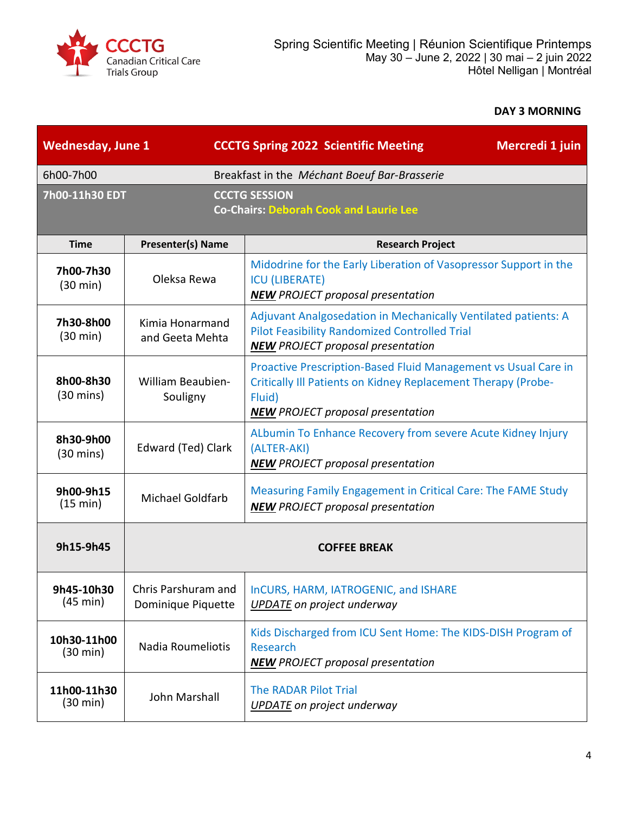

## **DAY 3 MORNING**

| <b>Wednesday, June 1</b>          |                                           | <b>CCCTG Spring 2022 Scientific Meeting</b><br>Mercredi 1 juin                                                                                                                        |
|-----------------------------------|-------------------------------------------|---------------------------------------------------------------------------------------------------------------------------------------------------------------------------------------|
| 6h00-7h00                         |                                           | Breakfast in the Méchant Boeuf Bar-Brasserie                                                                                                                                          |
| 7h00-11h30 EDT                    |                                           | <b>CCCTG SESSION</b><br><b>Co-Chairs: Deborah Cook and Laurie Lee</b>                                                                                                                 |
| <b>Time</b>                       | <b>Presenter(s) Name</b>                  | <b>Research Project</b>                                                                                                                                                               |
| 7h00-7h30<br>$(30 \text{ min})$   | Oleksa Rewa                               | Midodrine for the Early Liberation of Vasopressor Support in the<br><b>ICU (LIBERATE)</b><br><b>NEW</b> PROJECT proposal presentation                                                 |
| 7h30-8h00<br>(30 min)             | Kimia Honarmand<br>and Geeta Mehta        | Adjuvant Analgosedation in Mechanically Ventilated patients: A<br><b>Pilot Feasibility Randomized Controlled Trial</b><br><b>NEW PROJECT proposal presentation</b>                    |
| 8h00-8h30<br>$(30 \text{ mins})$  | William Beaubien-<br>Souligny             | Proactive Prescription-Based Fluid Management vs Usual Care in<br>Critically III Patients on Kidney Replacement Therapy (Probe-<br>Fluid)<br><b>NEW</b> PROJECT proposal presentation |
| 8h30-9h00<br>$(30 \text{ mins})$  | Edward (Ted) Clark                        | ALbumin To Enhance Recovery from severe Acute Kidney Injury<br>(ALTER-AKI)<br><b>NEW PROJECT proposal presentation</b>                                                                |
| 9h00-9h15<br>(15 min)             | <b>Michael Goldfarb</b>                   | Measuring Family Engagement in Critical Care: The FAME Study<br><b>NEW</b> PROJECT proposal presentation                                                                              |
| 9h15-9h45                         | <b>COFFEE BREAK</b>                       |                                                                                                                                                                                       |
| 9h45-10h30<br>(45 min)            | Chris Parshuram and<br>Dominique Piquette | InCURS, HARM, IATROGENIC, and ISHARE<br><b>UPDATE</b> on project underway                                                                                                             |
| 10h30-11h00<br>$(30 \text{ min})$ | Nadia Roumeliotis                         | Kids Discharged from ICU Sent Home: The KIDS-DISH Program of<br>Research<br><b>NEW</b> PROJECT proposal presentation                                                                  |
| 11h00-11h30<br>$(30 \text{ min})$ | John Marshall                             | <b>The RADAR Pilot Trial</b><br>UPDATE on project underway                                                                                                                            |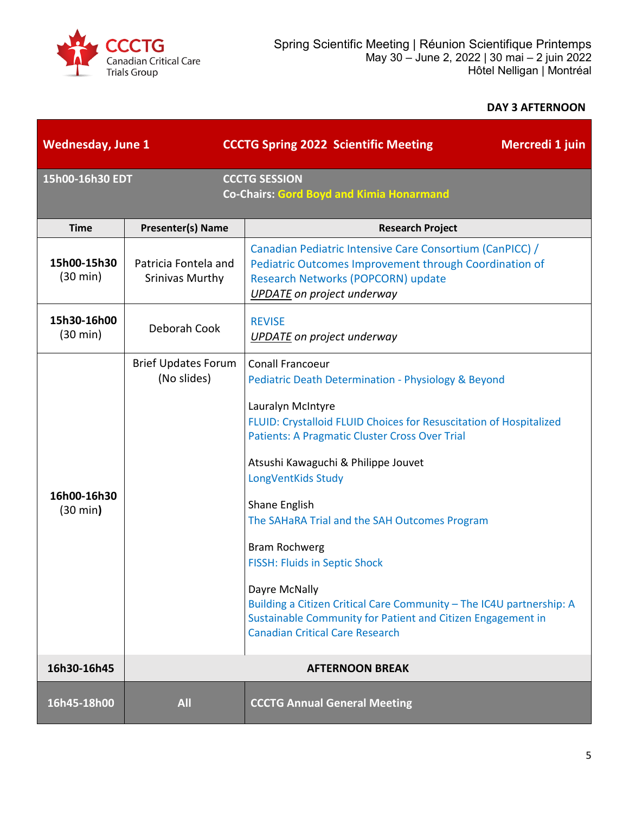

## **DAY 3 AFTERNOON**

| <b>Wednesday, June 1</b> |                                                | <b>CCCTG Spring 2022 Scientific Meeting</b><br>Mercredi 1 juin                                                                                                                                                                                                                                                                                                                                                                                                                                                                                                                                                               |
|--------------------------|------------------------------------------------|------------------------------------------------------------------------------------------------------------------------------------------------------------------------------------------------------------------------------------------------------------------------------------------------------------------------------------------------------------------------------------------------------------------------------------------------------------------------------------------------------------------------------------------------------------------------------------------------------------------------------|
| 15h00-16h30 EDT          |                                                | <b>CCCTG SESSION</b><br><b>Co-Chairs: Gord Boyd and Kimia Honarmand</b>                                                                                                                                                                                                                                                                                                                                                                                                                                                                                                                                                      |
| <b>Time</b>              | <b>Presenter(s) Name</b>                       | <b>Research Project</b>                                                                                                                                                                                                                                                                                                                                                                                                                                                                                                                                                                                                      |
| 15h00-15h30<br>(30 min)  | Patricia Fontela and<br><b>Srinivas Murthy</b> | Canadian Pediatric Intensive Care Consortium (CanPICC) /<br>Pediatric Outcomes Improvement through Coordination of<br>Research Networks (POPCORN) update<br><b>UPDATE</b> on project underway                                                                                                                                                                                                                                                                                                                                                                                                                                |
| 15h30-16h00<br>(30 min)  | Deborah Cook                                   | <b>REVISE</b><br><b>UPDATE</b> on project underway                                                                                                                                                                                                                                                                                                                                                                                                                                                                                                                                                                           |
| 16h00-16h30<br>(30 min)  | <b>Brief Updates Forum</b><br>(No slides)      | Conall Francoeur<br>Pediatric Death Determination - Physiology & Beyond<br>Lauralyn McIntyre<br>FLUID: Crystalloid FLUID Choices for Resuscitation of Hospitalized<br><b>Patients: A Pragmatic Cluster Cross Over Trial</b><br>Atsushi Kawaguchi & Philippe Jouvet<br>LongVentKids Study<br>Shane English<br>The SAHaRA Trial and the SAH Outcomes Program<br><b>Bram Rochwerg</b><br><b>FISSH: Fluids in Septic Shock</b><br>Dayre McNally<br>Building a Citizen Critical Care Community - The IC4U partnership: A<br>Sustainable Community for Patient and Citizen Engagement in<br><b>Canadian Critical Care Research</b> |
| 16h30-16h45              |                                                | <b>AFTERNOON BREAK</b>                                                                                                                                                                                                                                                                                                                                                                                                                                                                                                                                                                                                       |
| 16h45-18h00              | <b>All</b>                                     | <b>CCCTG Annual General Meeting</b>                                                                                                                                                                                                                                                                                                                                                                                                                                                                                                                                                                                          |